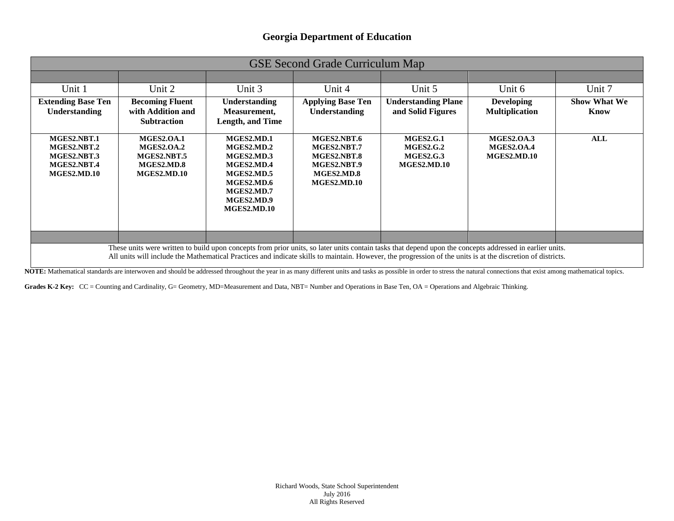#### **Georgia Department of Education**

| <b>GSE Second Grade Curriculum Map</b>                                                                                                                                                                                                                                                                                  |                                                                             |                                                                                                                             |                                                                                       |                                                                         |                                                       |                             |  |
|-------------------------------------------------------------------------------------------------------------------------------------------------------------------------------------------------------------------------------------------------------------------------------------------------------------------------|-----------------------------------------------------------------------------|-----------------------------------------------------------------------------------------------------------------------------|---------------------------------------------------------------------------------------|-------------------------------------------------------------------------|-------------------------------------------------------|-----------------------------|--|
|                                                                                                                                                                                                                                                                                                                         |                                                                             |                                                                                                                             |                                                                                       |                                                                         |                                                       |                             |  |
| Unit 1                                                                                                                                                                                                                                                                                                                  | Unit 2                                                                      | Unit 3                                                                                                                      | Unit 4                                                                                | Unit 5                                                                  | Unit 6                                                | Unit 7                      |  |
| <b>Extending Base Ten</b><br><b>Understanding</b>                                                                                                                                                                                                                                                                       | <b>Becoming Fluent</b><br>with Addition and<br><b>Subtraction</b>           | <b>Understanding</b><br>Measurement,<br>Length, and Time                                                                    | <b>Applying Base Ten</b><br><b>Understanding</b>                                      | <b>Understanding Plane</b><br>and Solid Figures                         | <b>Developing</b><br><b>Multiplication</b>            | <b>Show What We</b><br>Know |  |
| MGES2.NBT.1<br>MGES2.NBT.2<br>MGES2.NBT.3<br>MGES2.NBT.4<br>MGES2.MD.10                                                                                                                                                                                                                                                 | <b>MGES2.OA.1</b><br>MGES2.0A.2<br>MGES2.NBT.5<br>MGES2.MD.8<br>MGES2.MD.10 | MGES2.MD.1<br>MGES2.MD.2<br>MGES2.MD.3<br>MGES2.MD.4<br>MGES2.MD.5<br>MGES2.MD.6<br>MGES2.MD.7<br>MGES2.MD.9<br>MGES2.MD.10 | MGES2.NBT.6<br>MGES2.NBT.7<br>MGES2.NBT.8<br>MGES2.NBT.9<br>MGES2.MD.8<br>MGES2.MD.10 | <b>MGES2.G.1</b><br><b>MGES2.G.2</b><br><b>MGES2.G.3</b><br>MGES2.MD.10 | <b>MGES2.OA.3</b><br><b>MGES2.OA.4</b><br>MGES2.MD.10 | <b>ALL</b>                  |  |
|                                                                                                                                                                                                                                                                                                                         |                                                                             |                                                                                                                             |                                                                                       |                                                                         |                                                       |                             |  |
| These units were written to build upon concepts from prior units, so later units contain tasks that depend upon the concepts addressed in earlier units.<br>All units will include the Mathematical Practices and indicate skills to maintain. However, the progression of the units is at the discretion of districts. |                                                                             |                                                                                                                             |                                                                                       |                                                                         |                                                       |                             |  |

NOTE: Mathematical standards are interwoven and should be addressed throughout the year in as many different units and tasks as possible in order to stress the natural connections that exist among mathematical topics.

Grades K-2 Key: CC = Counting and Cardinality, G= Geometry, MD=Measurement and Data, NBT= Number and Operations in Base Ten, OA = Operations and Algebraic Thinking.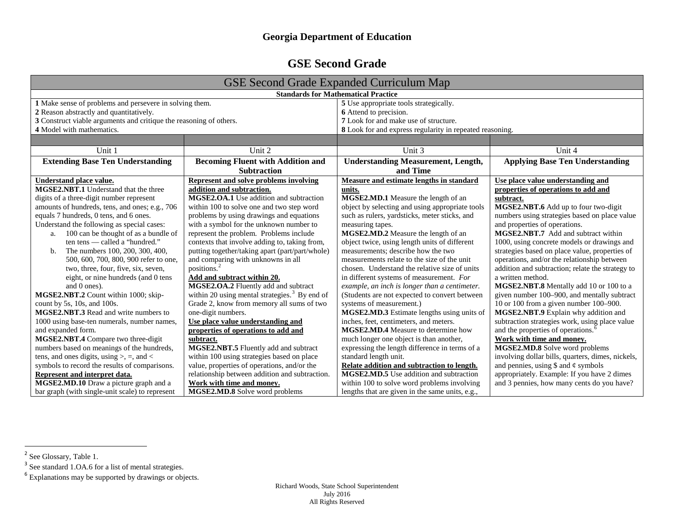### **Georgia Department of Education**

## **GSE Second Grade**

<span id="page-1-0"></span>

| <b>GSE Second Grade Expanded Curriculum Map</b>                                                 |                                                  |                                                          |                                                   |  |  |  |
|-------------------------------------------------------------------------------------------------|--------------------------------------------------|----------------------------------------------------------|---------------------------------------------------|--|--|--|
| <b>Standards for Mathematical Practice</b>                                                      |                                                  |                                                          |                                                   |  |  |  |
| 1 Make sense of problems and persevere in solving them.                                         |                                                  | 5 Use appropriate tools strategically.                   |                                                   |  |  |  |
| 2 Reason abstractly and quantitatively.                                                         |                                                  | 6 Attend to precision.                                   |                                                   |  |  |  |
| 3 Construct viable arguments and critique the reasoning of others.<br>4 Model with mathematics. |                                                  | 7 Look for and make use of structure.                    |                                                   |  |  |  |
|                                                                                                 |                                                  | 8 Look for and express regularity in repeated reasoning. |                                                   |  |  |  |
|                                                                                                 |                                                  |                                                          |                                                   |  |  |  |
| Unit 1                                                                                          | Unit 2                                           | Unit $3$                                                 | Unit $4$                                          |  |  |  |
| <b>Extending Base Ten Understanding</b>                                                         | <b>Becoming Fluent with Addition and</b>         | <b>Understanding Measurement, Length,</b>                | <b>Applying Base Ten Understanding</b>            |  |  |  |
|                                                                                                 | <b>Subtraction</b>                               | and Time                                                 |                                                   |  |  |  |
| Understand place value.                                                                         | Represent and solve problems involving           | Measure and estimate lengths in standard                 | Use place value understanding and                 |  |  |  |
| <b>MGSE2.NBT.1</b> Understand that the three                                                    | addition and subtraction.                        | units.                                                   | properties of operations to add and               |  |  |  |
| digits of a three-digit number represent                                                        | <b>MGSE2.OA.1</b> Use addition and subtraction   | MGSE2.MD.1 Measure the length of an                      | subtract.                                         |  |  |  |
| amounts of hundreds, tens, and ones; e.g., 706                                                  | within 100 to solve one and two step word        | object by selecting and using appropriate tools          | MGSE2.NBT.6 Add up to four two-digit              |  |  |  |
| equals 7 hundreds, 0 tens, and 6 ones.                                                          | problems by using drawings and equations         | such as rulers, yardsticks, meter sticks, and            | numbers using strategies based on place value     |  |  |  |
| Understand the following as special cases:                                                      | with a symbol for the unknown number to          | measuring tapes.                                         | and properties of operations.                     |  |  |  |
| 100 can be thought of as a bundle of<br>a.                                                      | represent the problem. Problems include          | MGSE2.MD.2 Measure the length of an                      | <b>MGSE2.NBT.7</b> Add and subtract within        |  |  |  |
| ten tens - called a "hundred."                                                                  | contexts that involve adding to, taking from,    | object twice, using length units of different            | 1000, using concrete models or drawings and       |  |  |  |
| The numbers 100, 200, 300, 400,<br>b.                                                           | putting together/taking apart (part/part/whole)  | measurements; describe how the two                       | strategies based on place value, properties of    |  |  |  |
| 500, 600, 700, 800, 900 refer to one,                                                           | and comparing with unknowns in all               | measurements relate to the size of the unit              | operations, and/or the relationship between       |  |  |  |
| two, three, four, five, six, seven,                                                             | positions.                                       | chosen. Understand the relative size of units            | addition and subtraction; relate the strategy to  |  |  |  |
| eight, or nine hundreds (and 0 tens                                                             | Add and subtract within 20.                      | in different systems of measurement. For                 | a written method.                                 |  |  |  |
| and 0 ones).                                                                                    | MGSE2.OA.2 Fluently add and subtract             | example, an inch is longer than a centimeter.            | MGSE2.NBT.8 Mentally add 10 or 100 to a           |  |  |  |
| MGSE2.NBT.2 Count within 1000; skip-                                                            | within 20 using mental strategies. $3$ By end of | (Students are not expected to convert between            | given number 100–900, and mentally subtract       |  |  |  |
| count by $5s$ , 10s, and 100s.                                                                  | Grade 2, know from memory all sums of two        | systems of measurement.)                                 | 10 or 100 from a given number 100-900.            |  |  |  |
| <b>MGSE2.NBT.3</b> Read and write numbers to                                                    | one-digit numbers.                               | MGSE2.MD.3 Estimate lengths using units of               | MGSE2.NBT.9 Explain why addition and              |  |  |  |
| 1000 using base-ten numerals, number names,                                                     | Use place value understanding and                | inches, feet, centimeters, and meters.                   | subtraction strategies work, using place value    |  |  |  |
| and expanded form.                                                                              | properties of operations to add and              | <b>MGSE2.MD.4</b> Measure to determine how               | and the properties of operations. <sup>6</sup>    |  |  |  |
| MGSE2.NBT.4 Compare two three-digit                                                             | subtract.                                        | much longer one object is than another,                  | Work with time and money.                         |  |  |  |
| numbers based on meanings of the hundreds,                                                      | MGSE2.NBT.5 Fluently add and subtract            | expressing the length difference in terms of a           | MGSE2.MD.8 Solve word problems                    |  |  |  |
| tens, and ones digits, using $>$ , $=$ , and $<$                                                | within 100 using strategies based on place       | standard length unit.                                    | involving dollar bills, quarters, dimes, nickels, |  |  |  |
| symbols to record the results of comparisons.                                                   | value, properties of operations, and/or the      | Relate addition and subtraction to length.               | and pennies, using $\$ and $\phi$ symbols         |  |  |  |
| Represent and interpret data.                                                                   | relationship between addition and subtraction.   | <b>MGSE2.MD.5</b> Use addition and subtraction           | appropriately. Example: If you have 2 dimes       |  |  |  |
| MGSE2.MD.10 Draw a picture graph and a                                                          | Work with time and money.                        | within 100 to solve word problems involving              | and 3 pennies, how many cents do you have?        |  |  |  |
| bar graph (with single-unit scale) to represent                                                 | MGSE2.MD.8 Solve word problems                   | lengths that are given in the same units, e.g.,          |                                                   |  |  |  |

<sup>-&</sup>lt;br><sup>2</sup> See Glossary, Table 1.

<sup>&</sup>lt;sup>3</sup> See standard 1.OA.6 for a list of mental strategies.

 $6$  Explanations may be supported by drawings or objects.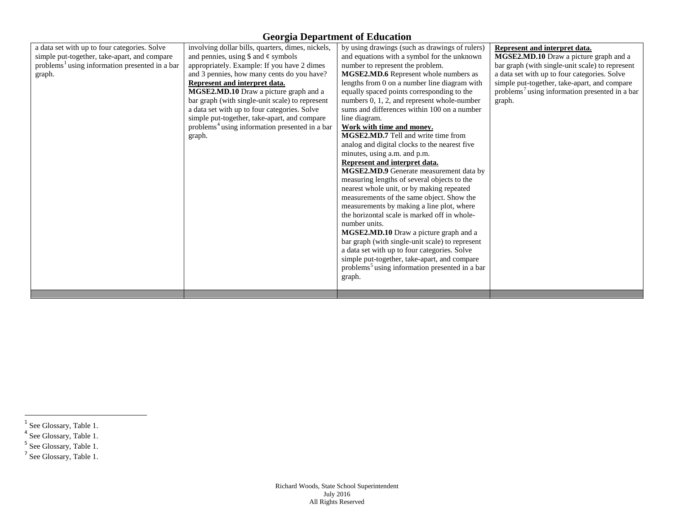#### **Georgia Department of Education**

<span id="page-2-0"></span>

| a data set with up to four categories. Solve               | involving dollar bills, quarters, dimes, nickels,          | by using drawings (such as drawings of rulers)             | Represent and interpret data.                              |
|------------------------------------------------------------|------------------------------------------------------------|------------------------------------------------------------|------------------------------------------------------------|
| simple put-together, take-apart, and compare               | and pennies, using $\$$ and $\phi$ symbols                 | and equations with a symbol for the unknown                | MGSE2.MD.10 Draw a picture graph and a                     |
| problems <sup>1</sup> using information presented in a bar | appropriately. Example: If you have 2 dimes                | number to represent the problem.                           | bar graph (with single-unit scale) to represent            |
| graph.                                                     | and 3 pennies, how many cents do you have?                 | MGSE2.MD.6 Represent whole numbers as                      | a data set with up to four categories. Solve               |
|                                                            | Represent and interpret data.                              | lengths from 0 on a number line diagram with               | simple put-together, take-apart, and compare               |
|                                                            | MGSE2.MD.10 Draw a picture graph and a                     | equally spaced points corresponding to the                 | problems <sup>7</sup> using information presented in a bar |
|                                                            | bar graph (with single-unit scale) to represent            | numbers 0, 1, 2, and represent whole-number                | graph.                                                     |
|                                                            | a data set with up to four categories. Solve               | sums and differences within 100 on a number                |                                                            |
|                                                            | simple put-together, take-apart, and compare               | line diagram.                                              |                                                            |
|                                                            | problems <sup>4</sup> using information presented in a bar | Work with time and money.                                  |                                                            |
|                                                            | graph.                                                     | <b>MGSE2.MD.7</b> Tell and write time from                 |                                                            |
|                                                            |                                                            | analog and digital clocks to the nearest five              |                                                            |
|                                                            |                                                            | minutes, using a.m. and p.m.                               |                                                            |
|                                                            |                                                            | Represent and interpret data.                              |                                                            |
|                                                            |                                                            | MGSE2.MD.9 Generate measurement data by                    |                                                            |
|                                                            |                                                            | measuring lengths of several objects to the                |                                                            |
|                                                            |                                                            | nearest whole unit, or by making repeated                  |                                                            |
|                                                            |                                                            | measurements of the same object. Show the                  |                                                            |
|                                                            |                                                            | measurements by making a line plot, where                  |                                                            |
|                                                            |                                                            | the horizontal scale is marked off in whole-               |                                                            |
|                                                            |                                                            | number units.                                              |                                                            |
|                                                            |                                                            | MGSE2.MD.10 Draw a picture graph and a                     |                                                            |
|                                                            |                                                            | bar graph (with single-unit scale) to represent            |                                                            |
|                                                            |                                                            | a data set with up to four categories. Solve               |                                                            |
|                                                            |                                                            |                                                            |                                                            |
|                                                            |                                                            | simple put-together, take-apart, and compare               |                                                            |
|                                                            |                                                            | problems <sup>5</sup> using information presented in a bar |                                                            |
|                                                            |                                                            | graph.                                                     |                                                            |
|                                                            |                                                            |                                                            |                                                            |
|                                                            |                                                            |                                                            |                                                            |

- <sup>4</sup> See Glossary, Table 1.
- <sup>5</sup> See Glossary, Table 1.

<sup>1&</sup>lt;br><sup>1</sup> See Glossary, Table 1.

<sup>&</sup>lt;sup>7</sup> See Glossary, Table 1.